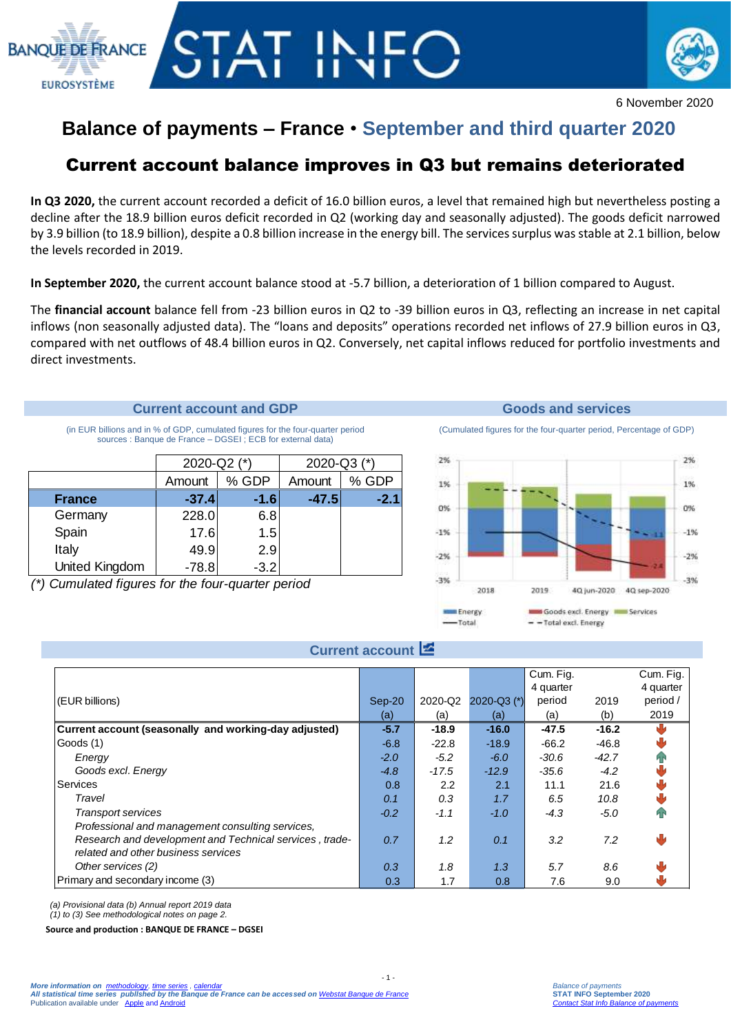



6 November 2020

# **Balance of payments – France** • **September and third quarter 2020**

## Current account balance improves in Q3 but remains deteriorated

**In Q3 2020,** the current account recorded a deficit of 16.0 billion euros, a level that remained high but nevertheless posting a decline after the 18.9 billion euros deficit recorded in Q2 (working day and seasonally adjusted). The goods deficit narrowed by 3.9 billion (to 18.9 billion), despite a 0.8 billion increase in the energy bill. The services surplus wasstable at 2.1 billion, below the levels recorded in 2019.

**In September 2020,** the current account balance stood at -5.7 billion, a deterioration of 1 billion compared to August.

The **financial account** balance fell from -23 billion euros in Q2 to -39 billion euros in Q3, reflecting an increase in net capital inflows (non seasonally adjusted data). The "loans and deposits" operations recorded net inflows of 27.9 billion euros in Q3, compared with net outflows of 48.4 billion euros in Q2. Conversely, net capital inflows reduced for portfolio investments and direct investments.

## **Current account and GDP Goods and services**

(in EUR billions and in % of GDP, cumulated figures for the four-quarter period sources : Banque de France – DGSEI ; ECB for external data)

|                | 2020-Q2 (*) |        | 2020-Q3 (*) |        |  |
|----------------|-------------|--------|-------------|--------|--|
|                | Amount      | % GDP  | Amount      | % GDP  |  |
| <b>France</b>  | $-37.4$     | $-1.6$ | $-47.5$     | $-2.1$ |  |
| Germany        | 228.0       | 6.8    |             |        |  |
| Spain          | 17.6        | 1.5    |             |        |  |
| Italy          | 49.9        | 2.9    |             |        |  |
| United Kingdom | $-78.8$     | $-3.2$ |             |        |  |

*(\*) Cumulated figures for the four-quarter period*

(Cumulated figures for the four-quarter period, Percentage of GDP)



## **Current account**

|                                                                                                                                                    |        |         |                 | Cum. Fig.<br>4 quarter |         | Cum. Fig.<br>4 quarter |
|----------------------------------------------------------------------------------------------------------------------------------------------------|--------|---------|-----------------|------------------------|---------|------------------------|
| (EUR billions)                                                                                                                                     | Sep-20 | 2020-Q2 | $2020 - Q3$ (*) | period                 | 2019    | period /               |
|                                                                                                                                                    | (a)    | (a)     | (a)             | (a)                    | (b)     | 2019                   |
| Current account (seasonally and working-day adjusted)                                                                                              | $-5.7$ | $-18.9$ | $-16.0$         | $-47.5$                | $-16.2$ |                        |
| Goods (1)                                                                                                                                          | $-6.8$ | $-22.8$ | $-18.9$         | $-66.2$                | $-46.8$ |                        |
| Energy                                                                                                                                             | $-2.0$ | $-5.2$  | $-6.0$          | $-30.6$                | $-42.7$ |                        |
| Goods excl. Energy                                                                                                                                 | $-4.8$ | $-17.5$ | $-12.9$         | $-35.6$                | $-4.2$  |                        |
| Services                                                                                                                                           | 0.8    | 2.2     | 2.1             | 11.1                   | 21.6    |                        |
| Travel                                                                                                                                             | 0.1    | 0.3     | 1.7             | 6.5                    | 10.8    |                        |
| <b>Transport services</b>                                                                                                                          | $-0.2$ | $-1.1$  | $-1.0$          | $-4.3$                 | $-5.0$  |                        |
| Professional and management consulting services,<br>Research and development and Technical services, trade-<br>related and other business services | 0.7    | 1.2     | 0.1             | 3.2                    | 7.2     | ŵ                      |
| Other services (2)                                                                                                                                 | 0.3    | 1.8     | 1.3             | 5.7                    | 8.6     |                        |
| Primary and secondary income (3)                                                                                                                   | 0.3    | 1.7     | 0.8             | 7.6                    | 9.0     |                        |

 $-1$   $-$ 

*(a) Provisional data (b) Annual report 2019 data* 

*(1) to (3) See methodological notes on page 2.*

**Source and production : BANQUE DE FRANCE – DGSEI**